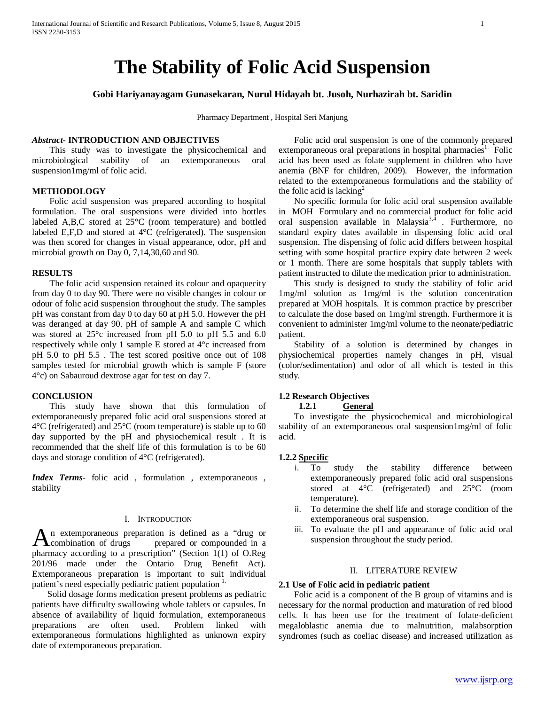# **The Stability of Folic Acid Suspension**

# **Gobi Hariyanayagam Gunasekaran, Nurul Hidayah bt. Jusoh, Nurhazirah bt. Saridin**

Pharmacy Department , Hospital Seri Manjung

# *Abstract***- INTRODUCTION AND OBJECTIVES**

 This study was to investigate the physicochemical and microbiological stability of an extemporaneous oral suspension1mg/ml of folic acid.

# **METHODOLOGY**

 Folic acid suspension was prepared according to hospital formulation. The oral suspensions were divided into bottles labeled A,B,C stored at 25°C (room temperature) and bottled labeled E,F,D and stored at 4°C (refrigerated). The suspension was then scored for changes in visual appearance, odor, pH and microbial growth on Day 0, 7,14,30,60 and 90.

### **RESULTS**

 The folic acid suspension retained its colour and opaquecity from day 0 to day 90. There were no visible changes in colour or odour of folic acid suspension throughout the study. The samples pH was constant from day 0 to day 60 at pH 5.0. However the pH was deranged at day 90. pH of sample A and sample C which was stored at 25°c increased from pH 5.0 to pH 5.5 and 6.0 respectively while only 1 sample E stored at 4°c increased from pH 5.0 to pH 5.5 . The test scored positive once out of 108 samples tested for microbial growth which is sample F (store 4°c) on Sabauroud dextrose agar for test on day 7.

#### **CONCLUSION**

 This study have shown that this formulation of extemporaneously prepared folic acid oral suspensions stored at 4°C (refrigerated) and 25°C (room temperature) is stable up to 60 day supported by the pH and physiochemical result . It is recommended that the shelf life of this formulation is to be 60 days and storage condition of 4°C (refrigerated).

*Index Terms*- folic acid , formulation , extemporaneous , stability

### I. INTRODUCTION

n extemporaneous preparation is defined as a "drug or An extemporaneous preparation is defined as a "drug or compounded in a prepared or compounded in a pharmacy according to a prescription" (Section 1(1) of O.Reg 201/96 made under the Ontario Drug Benefit Act). Extemporaneous preparation is important to suit individual patient's need especially pediatric patient population <sup>1.</sup>

 Solid dosage forms medication present problems as pediatric patients have difficulty swallowing whole tablets or capsules. In absence of availability of liquid formulation, extemporaneous preparations are often used. Problem linked with extemporaneous formulations highlighted as unknown expiry date of extemporaneous preparation.

 Folic acid oral suspension is one of the commonly prepared  $ext{emporaneous oral preparations}$  in hospital pharmacies<sup>1.</sup> Folic acid has been used as folate supplement in children who have anemia (BNF for children, 2009). However, the information related to the extemporaneous formulations and the stability of the folic acid is lacking $2$ 

 No specific formula for folic acid oral suspension available in MOH Formulary and no commercial product for folic acid oral suspension available in Malaysia<sup>3,4</sup>. Furthermore, no standard expiry dates available in dispensing folic acid oral suspension. The dispensing of folic acid differs between hospital setting with some hospital practice expiry date between 2 week or 1 month. There are some hospitals that supply tablets with patient instructed to dilute the medication prior to administration.

 This study is designed to study the stability of folic acid 1mg/ml solution as 1mg/ml is the solution concentration prepared at MOH hospitals. It is common practice by prescriber to calculate the dose based on 1mg/ml strength. Furthermore it is convenient to administer 1mg/ml volume to the neonate/pediatric patient.

 Stability of a solution is determined by changes in physiochemical properties namely changes in pH, visual (color/sedimentation) and odor of all which is tested in this study.

# **1.2 Research Objectives**

**1.2.1 General**

 To investigate the physicochemical and microbiological stability of an extemporaneous oral suspension1mg/ml of folic acid.

## **1.2.2 Specific**

- i. To study the stability difference between extemporaneously prepared folic acid oral suspensions stored at 4°C (refrigerated) and 25°C (room temperature).
- ii. To determine the shelf life and storage condition of the extemporaneous oral suspension.
- iii. To evaluate the pH and appearance of folic acid oral suspension throughout the study period.

#### II. LITERATURE REVIEW

#### **2.1 Use of Folic acid in pediatric patient**

 Folic acid is a component of the B group of vitamins and is necessary for the normal production and maturation of red blood cells. It has been use for the treatment of folate-deficient megaloblastic anemia due to malnutrition, malabsorption syndromes (such as coeliac disease) and increased utilization as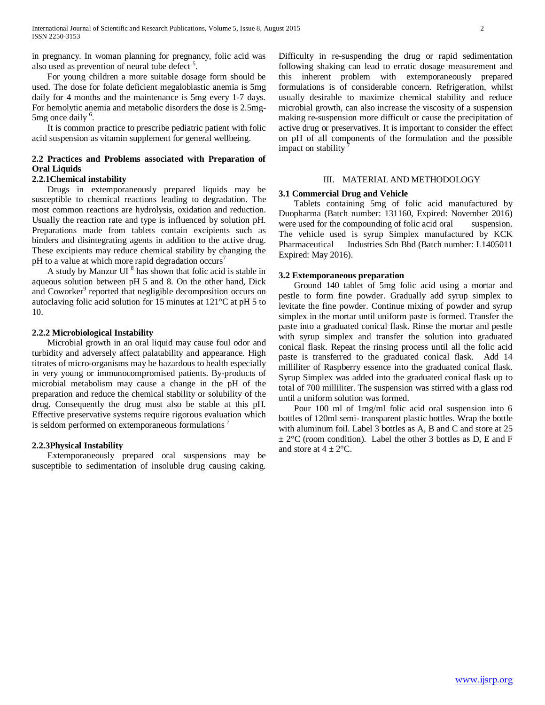in pregnancy. In woman planning for pregnancy, folic acid was also used as prevention of neural tube defect<sup>5</sup>.

 For young children a more suitable dosage form should be used. The dose for folate deficient megaloblastic anemia is 5mg daily for 4 months and the maintenance is 5mg every 1-7 days. For hemolytic anemia and metabolic disorders the dose is 2.5mg-5mg once daily <sup>6</sup>.

 It is common practice to prescribe pediatric patient with folic acid suspension as vitamin supplement for general wellbeing.

# **2.2 Practices and Problems associated with Preparation of Oral Liquids**

## **2.2.1Chemical instability**

 Drugs in extemporaneously prepared liquids may be susceptible to chemical reactions leading to degradation. The most common reactions are hydrolysis, oxidation and reduction. Usually the reaction rate and type is influenced by solution pH. Preparations made from tablets contain excipients such as binders and disintegrating agents in addition to the active drug. These excipients may reduce chemical stability by changing the pH to a value at which more rapid degradation occurs<sup>7</sup>

A study by Manzur UI $<sup>8</sup>$  has shown that folic acid is stable in</sup> aqueous solution between pH 5 and 8. On the other hand, Dick and Coworker<sup>9</sup> reported that negligible decomposition occurs on autoclaving folic acid solution for 15 minutes at 121°C at pH 5 to 10.

#### **2.2.2 Microbiological Instability**

 Microbial growth in an oral liquid may cause foul odor and turbidity and adversely affect palatability and appearance. High titrates of micro-organisms may be hazardous to health especially in very young or immunocompromised patients. By-products of microbial metabolism may cause a change in the pH of the preparation and reduce the chemical stability or solubility of the drug. Consequently the drug must also be stable at this pH. Effective preservative systems require rigorous evaluation which is seldom performed on extemporaneous formulations<sup>7</sup>

## **2.2.3Physical Instability**

 Extemporaneously prepared oral suspensions may be susceptible to sedimentation of insoluble drug causing caking. Difficulty in re-suspending the drug or rapid sedimentation following shaking can lead to erratic dosage measurement and this inherent problem with extemporaneously prepared formulations is of considerable concern. Refrigeration, whilst usually desirable to maximize chemical stability and reduce microbial growth, can also increase the viscosity of a suspension making re-suspension more difficult or cause the precipitation of active drug or preservatives. It is important to consider the effect on pH of all components of the formulation and the possible impact on stability

## III. MATERIAL AND METHODOLOGY

#### **3.1 Commercial Drug and Vehicle**

 Tablets containing 5mg of folic acid manufactured by Duopharma (Batch number: 131160, Expired: November 2016) were used for the compounding of folic acid oral suspension. The vehicle used is syrup Simplex manufactured by KCK Pharmaceutical Industries Sdn Bhd (Batch number: L1405011 Expired: May 2016).

#### **3.2 Extemporaneous preparation**

 Ground 140 tablet of 5mg folic acid using a mortar and pestle to form fine powder. Gradually add syrup simplex to levitate the fine powder. Continue mixing of powder and syrup simplex in the mortar until uniform paste is formed. Transfer the paste into a graduated conical flask. Rinse the mortar and pestle with syrup simplex and transfer the solution into graduated conical flask. Repeat the rinsing process until all the folic acid paste is transferred to the graduated conical flask. Add 14 milliliter of Raspberry essence into the graduated conical flask. Syrup Simplex was added into the graduated conical flask up to total of 700 milliliter. The suspension was stirred with a glass rod until a uniform solution was formed.

 Pour 100 ml of 1mg/ml folic acid oral suspension into 6 bottles of 120ml semi- transparent plastic bottles. Wrap the bottle with aluminum foil. Label 3 bottles as A, B and C and store at 25  $\pm 2^{\circ}$ C (room condition). Label the other 3 bottles as D, E and F and store at  $4 \pm 2$ °C.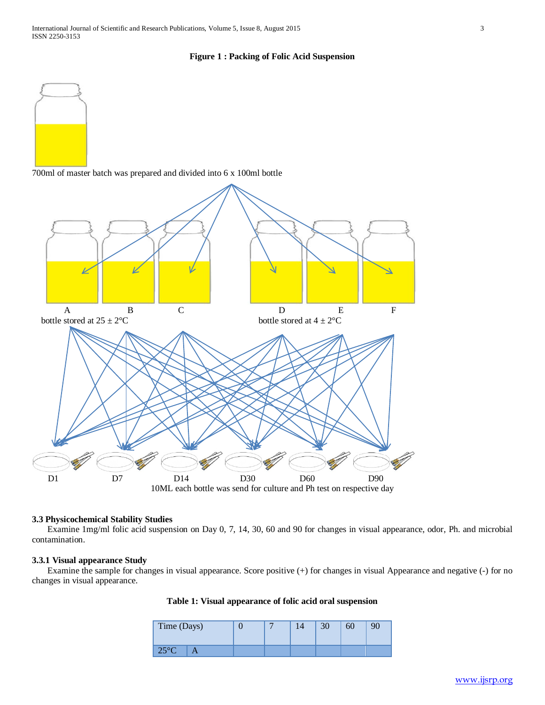## **Figure 1 : Packing of Folic Acid Suspension**



700ml of master batch was prepared and divided into 6 x 100ml bottle



## **3.3 Physicochemical Stability Studies**

 Examine 1mg/ml folic acid suspension on Day 0, 7, 14, 30, 60 and 90 for changes in visual appearance, odor, Ph. and microbial contamination.

## **3.3.1 Visual appearance Study**

 Examine the sample for changes in visual appearance. Score positive (+) for changes in visual Appearance and negative (-) for no changes in visual appearance.

|  | Table 1: Visual appearance of folic acid oral suspension |  |  |
|--|----------------------------------------------------------|--|--|
|  |                                                          |  |  |

| Time (Days) |  |  | 30 | 60 |  |
|-------------|--|--|----|----|--|
| 250C        |  |  |    |    |  |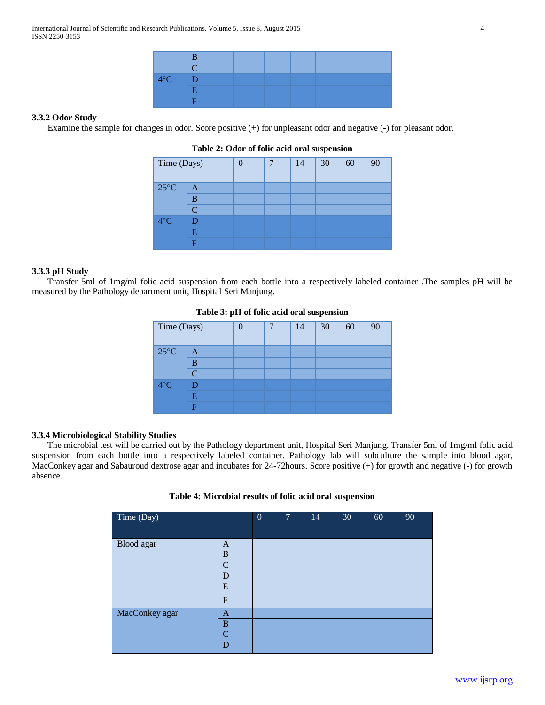| $\sim$ |  |  |  |  |
|--------|--|--|--|--|
|        |  |  |  |  |
| LY O   |  |  |  |  |
|        |  |  |  |  |
|        |  |  |  |  |

# **3.3.2 Odor Study**

Examine the sample for changes in odor. Score positive (+) for unpleasant odor and negative (-) for pleasant odor.

| Time (Days)    |                |  | 14 | 30 | 60 | 90 |
|----------------|----------------|--|----|----|----|----|
| $25^{\circ}$ C | A              |  |    |    |    |    |
| B              |                |  |    |    |    |    |
|                | $\overline{C}$ |  |    |    |    |    |
| $4^{\circ}C$   |                |  |    |    |    |    |
|                | Е              |  |    |    |    |    |
|                | F              |  |    |    |    |    |

## **Table 2: Odor of folic acid oral suspension**

## **3.3.3 pH Study**

 Transfer 5ml of 1mg/ml folic acid suspension from each bottle into a respectively labeled container .The samples pH will be measured by the Pathology department unit, Hospital Seri Manjung.

|                | л.           |  |    | л. |    |    |
|----------------|--------------|--|----|----|----|----|
| Time (Days)    |              |  | 14 | 30 | 60 | 90 |
| $25^{\circ}$ C | A            |  |    |    |    |    |
|                | B            |  |    |    |    |    |
|                | $\mathsf{C}$ |  |    |    |    |    |
| $4^{\circ}C$   |              |  |    |    |    |    |
|                | E            |  |    |    |    |    |
|                | F            |  |    |    |    |    |

**Table 3: pH of folic acid oral suspension**

## **3.3.4 Microbiological Stability Studies**

 The microbial test will be carried out by the Pathology department unit, Hospital Seri Manjung. Transfer 5ml of 1mg/ml folic acid suspension from each bottle into a respectively labeled container. Pathology lab will subculture the sample into blood agar, MacConkey agar and Sabauroud dextrose agar and incubates for 24-72hours. Score positive (+) for growth and negative (-) for growth absence.

| Time (Day)     |                | $\mathbf{0}$ | 17 | 14 | 30 | 60 | 90 |
|----------------|----------------|--------------|----|----|----|----|----|
| Blood agar     | A              |              |    |    |    |    |    |
|                | $\, {\bf B}$   |              |    |    |    |    |    |
|                | $\mathbf C$    |              |    |    |    |    |    |
|                | D              |              |    |    |    |    |    |
|                | ${\bf E}$      |              |    |    |    |    |    |
|                | ${\bf F}$      |              |    |    |    |    |    |
| MacConkey agar | A              |              |    |    |    |    |    |
|                | $\, {\bf B}$   |              |    |    |    |    |    |
|                | $\overline{C}$ |              |    |    |    |    |    |
|                | D              |              |    |    |    |    |    |

**Table 4: Microbial results of folic acid oral suspension**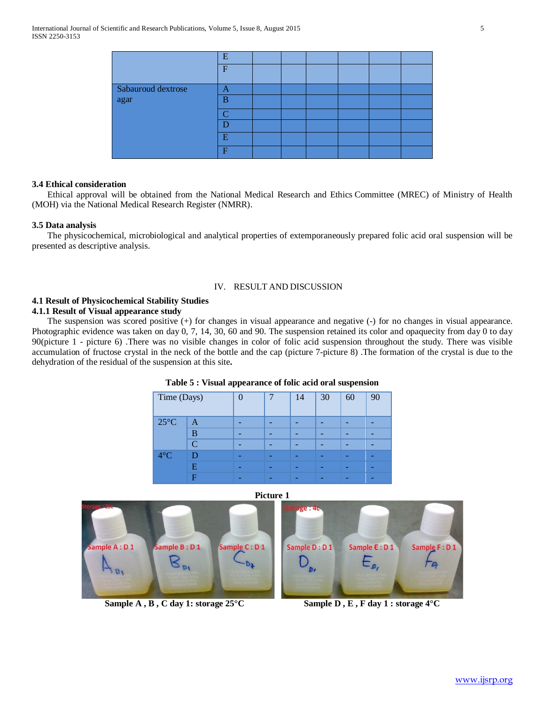|                    | E            |  |  |  |
|--------------------|--------------|--|--|--|
|                    | F            |  |  |  |
| Sabauroud dextrose | А            |  |  |  |
| agar               | B            |  |  |  |
|                    | $\mathsf{C}$ |  |  |  |
|                    |              |  |  |  |
|                    | Ε            |  |  |  |
|                    | в            |  |  |  |

# **3.4 Ethical consideration**

 Ethical approval will be obtained from the National Medical Research and Ethics Committee (MREC) of Ministry of Health (MOH) via the National Medical Research Register (NMRR).

## **3.5 Data analysis**

 The physicochemical, microbiological and analytical properties of extemporaneously prepared folic acid oral suspension will be presented as descriptive analysis.

## IV. RESULT AND DISCUSSION

# **4.1 Result of Physicochemical Stability Studies**

# **4.1.1 Result of Visual appearance study**

 The suspension was scored positive (+) for changes in visual appearance and negative (-) for no changes in visual appearance. Photographic evidence was taken on day 0, 7, 14, 30, 60 and 90. The suspension retained its color and opaquecity from day 0 to day 90(picture 1 - picture 6) .There was no visible changes in color of folic acid suspension throughout the study. There was visible accumulation of fructose crystal in the neck of the bottle and the cap (picture 7-picture 8) .The formation of the crystal is due to the dehydration of the residual of the suspension at this site**.** 

| Time (Days)    |        | 7 | 14 | 30 | 60 | 90 |
|----------------|--------|---|----|----|----|----|
| $25^{\circ}$ C | A      |   |    |    |    |    |
|                | B      |   |    | -  | -  |    |
|                | $\cap$ |   |    |    |    |    |
| $4^{\circ}$ C  |        |   |    |    |    |    |
|                | E      |   |    |    |    |    |
|                | F      |   |    |    |    |    |

**Table 5 : Visual appearance of folic acid oral suspension**

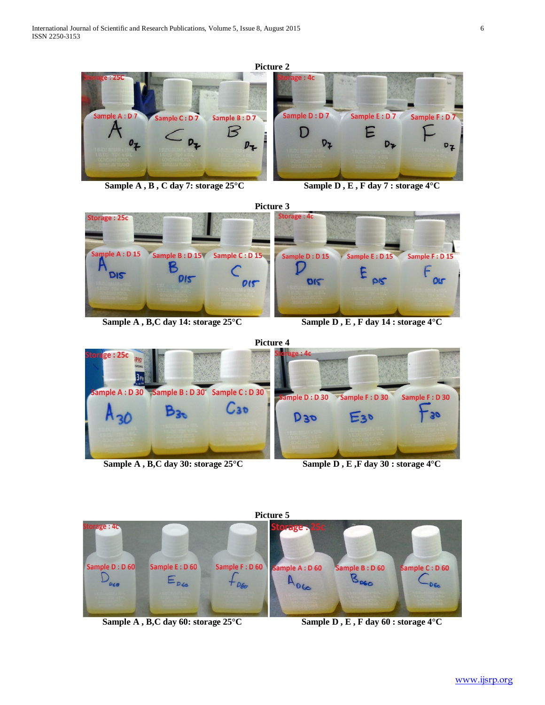





**Sample A, B,C day 14: storage 25°C** Sample D, E, F day 14: storage 4°C



Sample A, B,C day 30: storage  $25^{\circ}$ C Sample D, E, F day 30: storage  $4^{\circ}$ C



Sample A, B,C day 60: storage  $25^{\circ}$ C Sample D, E, F day 60: storage  $4^{\circ}$ C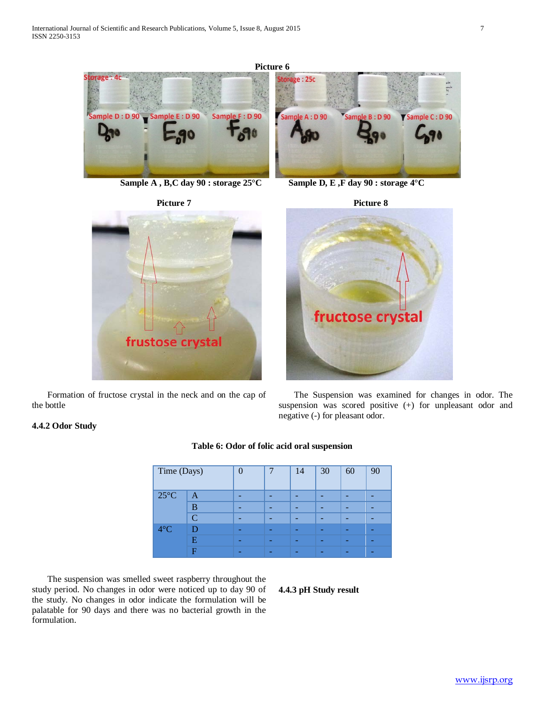

**Sample A, B,C day 90 : storage 25°C** Sample D, E, F day 90 : storage 4°C





 Formation of fructose crystal in the neck and on the cap of the bottle





 The Suspension was examined for changes in odor. The suspension was scored positive (+) for unpleasant odor and negative (-) for pleasant odor.

# **4.4.2 Odor Study**

| Time (Days)    |   | ⋂ | 7 | 14 | 30 | 60 | 90 |
|----------------|---|---|---|----|----|----|----|
| $25^{\circ}$ C | A |   |   |    |    |    |    |
| в<br>⌒         |   |   |   |    |    |    | -  |
|                |   |   |   |    |    |    | -  |
| $4^{\circ}$ C  | D | - | - | -  |    | -  | -  |
|                | E | - | - | -  |    | -  | -  |
|                | F |   |   |    |    |    |    |

# **Table 6: Odor of folic acid oral suspension**

 The suspension was smelled sweet raspberry throughout the study period. No changes in odor were noticed up to day 90 of the study. No changes in odor indicate the formulation will be palatable for 90 days and there was no bacterial growth in the formulation.

#### **4.4.3 pH Study result**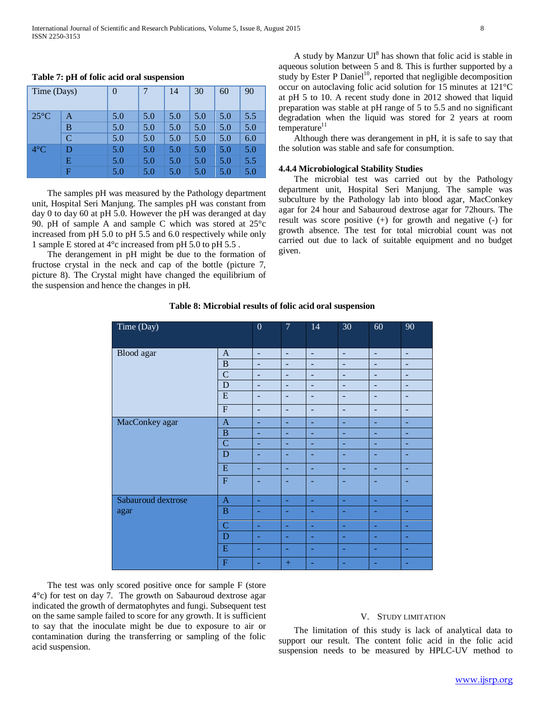| Time (Days)    |   | $\Omega$ | 7   | 14  | 30  | 60  | 90  |
|----------------|---|----------|-----|-----|-----|-----|-----|
| $25^{\circ}$ C | A | 5.0      | 5.0 | 5.0 | 5.0 | 5.0 | 5.5 |
|                | B | 5.0      | 5.0 | 5.0 | 5.0 | 5.0 | 5.0 |
|                | C | 5.0      | 5.0 | 5.0 | 5.0 | 5.0 | 6.0 |
| $4^{\circ}$ C  | D | 5.0      | 5.0 | 5.0 | 5.0 | 5.0 | 5.0 |
|                | E | 5.0      | 5.0 | 5.0 | 5.0 | 5.0 | 5.5 |
|                | F | 5.0      | 5.0 | 5.0 | 5.0 | 5.0 | 5.0 |

#### **Table 7: pH of folic acid oral suspension**

 The samples pH was measured by the Pathology department unit, Hospital Seri Manjung. The samples pH was constant from day 0 to day 60 at pH 5.0. However the pH was deranged at day 90. pH of sample A and sample C which was stored at 25°c increased from pH 5.0 to pH 5.5 and 6.0 respectively while only 1 sample E stored at 4°c increased from pH 5.0 to pH 5.5 .

 The derangement in pH might be due to the formation of fructose crystal in the neck and cap of the bottle (picture 7, picture 8). The Crystal might have changed the equilibrium of the suspension and hence the changes in pH.

A study by Manzur  $UI<sup>8</sup>$  has shown that folic acid is stable in aqueous solution between 5 and 8. This is further supported by a study by Ester P Daniel<sup>10</sup>, reported that negligible decomposition occur on autoclaving folic acid solution for 15 minutes at 121°C at pH 5 to 10. A recent study done in 2012 showed that liquid preparation was stable at pH range of 5 to 5.5 and no significant degradation when the liquid was stored for 2 years at room temperature $11$ 

 Although there was derangement in pH, it is safe to say that the solution was stable and safe for consumption.

#### **4.4.4 Microbiological Stability Studies**

 The microbial test was carried out by the Pathology department unit, Hospital Seri Manjung. The sample was subculture by the Pathology lab into blood agar, MacConkey agar for 24 hour and Sabauroud dextrose agar for 72hours. The result was score positive (+) for growth and negative (-) for growth absence. The test for total microbial count was not carried out due to lack of suitable equipment and no budget given.

| Time (Day)         |                         | $\mathbf{0}$ | 7              | 14                       | 30 | 60                       | 90                       |
|--------------------|-------------------------|--------------|----------------|--------------------------|----|--------------------------|--------------------------|
| Blood agar         | $\mathbf{A}$            | ٠            | $\blacksquare$ | $\qquad \qquad -$        | ٠  | ٠                        | $\overline{\phantom{a}}$ |
|                    | $\, {\bf B}$            | ۰            | ٠              | $\overline{\phantom{a}}$ | ٠  | ۰                        | -                        |
|                    | $\mathbf C$             | ۰            | ۰              |                          |    |                          | -                        |
|                    | ${\bf D}$               | ۰            | ٠              | $\qquad \qquad -$        | -  | ٠                        |                          |
|                    | ${\bf E}$               | ۰            | ۰              | -                        | -  |                          | -                        |
|                    | $\overline{\mathrm{F}}$ | ۳            | ۰              | ۰                        | ۰  | ۰                        | -                        |
| MacConkey agar     | $\mathbf{A}$            | ۰            | ٠              | ٠                        | ٠  | ٠                        | ۰                        |
|                    | $\, {\bf B}$            | ۰            | ٠              | ۰                        | ۰  | ۰                        | ۰                        |
|                    | $\mathbf C$             |              |                |                          |    |                          |                          |
|                    | D                       |              |                |                          |    |                          |                          |
|                    | ${\bf E}$               | ۰            | ٠              | ٠                        | ٠  | ٠                        | ۰                        |
|                    | $\overline{F}$          |              | -              |                          |    | $\overline{\phantom{0}}$ | -                        |
| Sabauroud dextrose | $\mathbf{A}$            | ٠            | $\equiv$       | $\blacksquare$           | ٠  | ٠                        | ٠                        |
| agar               | $\, {\bf B}$            |              |                |                          |    |                          |                          |
|                    | $\mathbf C$             |              | ٠              |                          |    |                          | ۰                        |
|                    | D                       | ٠            | ٠              | ٠                        | ۰  | ۰                        |                          |
|                    | E                       |              |                |                          |    |                          |                          |
|                    | $\mathbf F$             |              | $+$            |                          |    |                          |                          |

**Table 8: Microbial results of folic acid oral suspension**

 The test was only scored positive once for sample F (store 4°c) for test on day 7. The growth on Sabauroud dextrose agar indicated the growth of dermatophytes and fungi. Subsequent test on the same sample failed to score for any growth. It is sufficient to say that the inoculate might be due to exposure to air or contamination during the transferring or sampling of the folic acid suspension.

## V. STUDY LIMITATION

 The limitation of this study is lack of analytical data to support our result. The content folic acid in the folic acid suspension needs to be measured by HPLC-UV method to